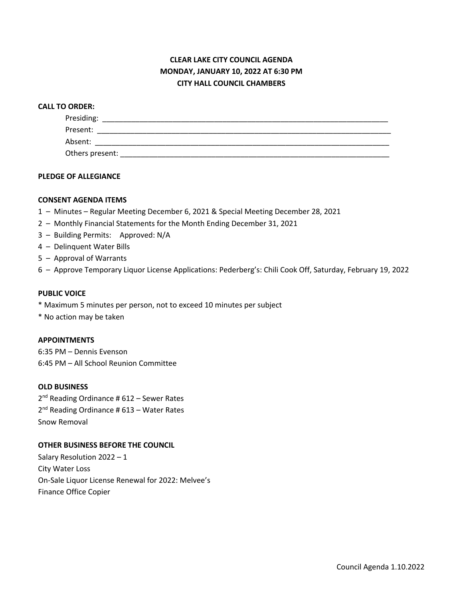# **CLEAR LAKE CITY COUNCIL AGENDA MONDAY, JANUARY 10, 2022 AT 6:30 PM CITY HALL COUNCIL CHAMBERS**

#### **CALL TO ORDER:**

| Presiding:      |  |  |
|-----------------|--|--|
| Present:        |  |  |
| Absent:         |  |  |
| Others present: |  |  |

### **PLEDGE OF ALLEGIANCE**

#### **CONSENT AGENDA ITEMS**

- 1 Minutes Regular Meeting December 6, 2021 & Special Meeting December 28, 2021
- 2 Monthly Financial Statements for the Month Ending December 31, 2021
- 3 Building Permits: Approved: N/A
- 4 Delinquent Water Bills
- 5 Approval of Warrants
- 6 Approve Temporary Liquor License Applications: Pederberg's: Chili Cook Off, Saturday, February 19, 2022

#### **PUBLIC VOICE**

- \* Maximum 5 minutes per person, not to exceed 10 minutes per subject
- \* No action may be taken

#### **APPOINTMENTS**

6:35 PM – Dennis Evenson 6:45 PM – All School Reunion Committee

### **OLD BUSINESS**

2<sup>nd</sup> Reading Ordinance # 612 – Sewer Rates 2<sup>nd</sup> Reading Ordinance # 613 – Water Rates Snow Removal

#### **OTHER BUSINESS BEFORE THE COUNCIL**

Salary Resolution 2022 – 1 City Water Loss On-Sale Liquor License Renewal for 2022: Melvee's Finance Office Copier